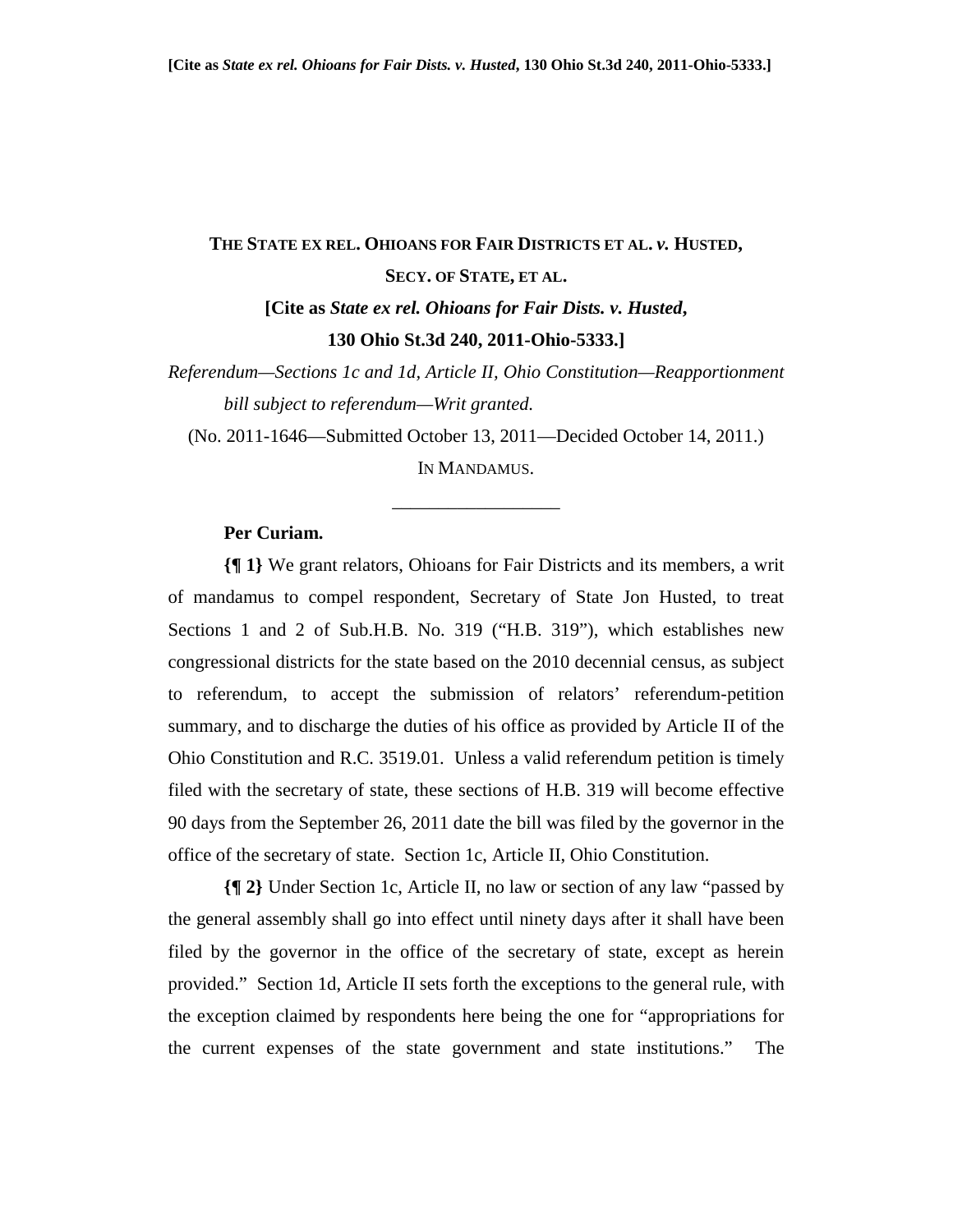# **THE STATE EX REL. OHIOANS FOR FAIR DISTRICTS ET AL.** *v.* **HUSTED, SECY. OF STATE, ET AL.**

# **[Cite as** *State ex rel. Ohioans for Fair Dists. v. Husted***, 130 Ohio St.3d 240, 2011-Ohio-5333.]**

*Referendum—Sections 1c and 1d, Article II, Ohio Constitution—Reapportionment bill subject to referendum—Writ granted.* 

(No. 2011-1646—Submitted October 13, 2011—Decided October 14, 2011.)

IN MANDAMUS.

\_\_\_\_\_\_\_\_\_\_\_\_\_\_\_\_\_\_

### **Per Curiam.**

**{¶ 1}** We grant relators, Ohioans for Fair Districts and its members, a writ of mandamus to compel respondent, Secretary of State Jon Husted, to treat Sections 1 and 2 of Sub.H.B. No. 319 ("H.B. 319"), which establishes new congressional districts for the state based on the 2010 decennial census, as subject to referendum, to accept the submission of relators' referendum-petition summary, and to discharge the duties of his office as provided by Article II of the Ohio Constitution and R.C. 3519.01. Unless a valid referendum petition is timely filed with the secretary of state, these sections of H.B. 319 will become effective 90 days from the September 26, 2011 date the bill was filed by the governor in the office of the secretary of state. Section 1c, Article II, Ohio Constitution.

**{¶ 2}** Under Section 1c, Article II, no law or section of any law "passed by the general assembly shall go into effect until ninety days after it shall have been filed by the governor in the office of the secretary of state, except as herein provided." Section 1d, Article II sets forth the exceptions to the general rule, with the exception claimed by respondents here being the one for "appropriations for the current expenses of the state government and state institutions." The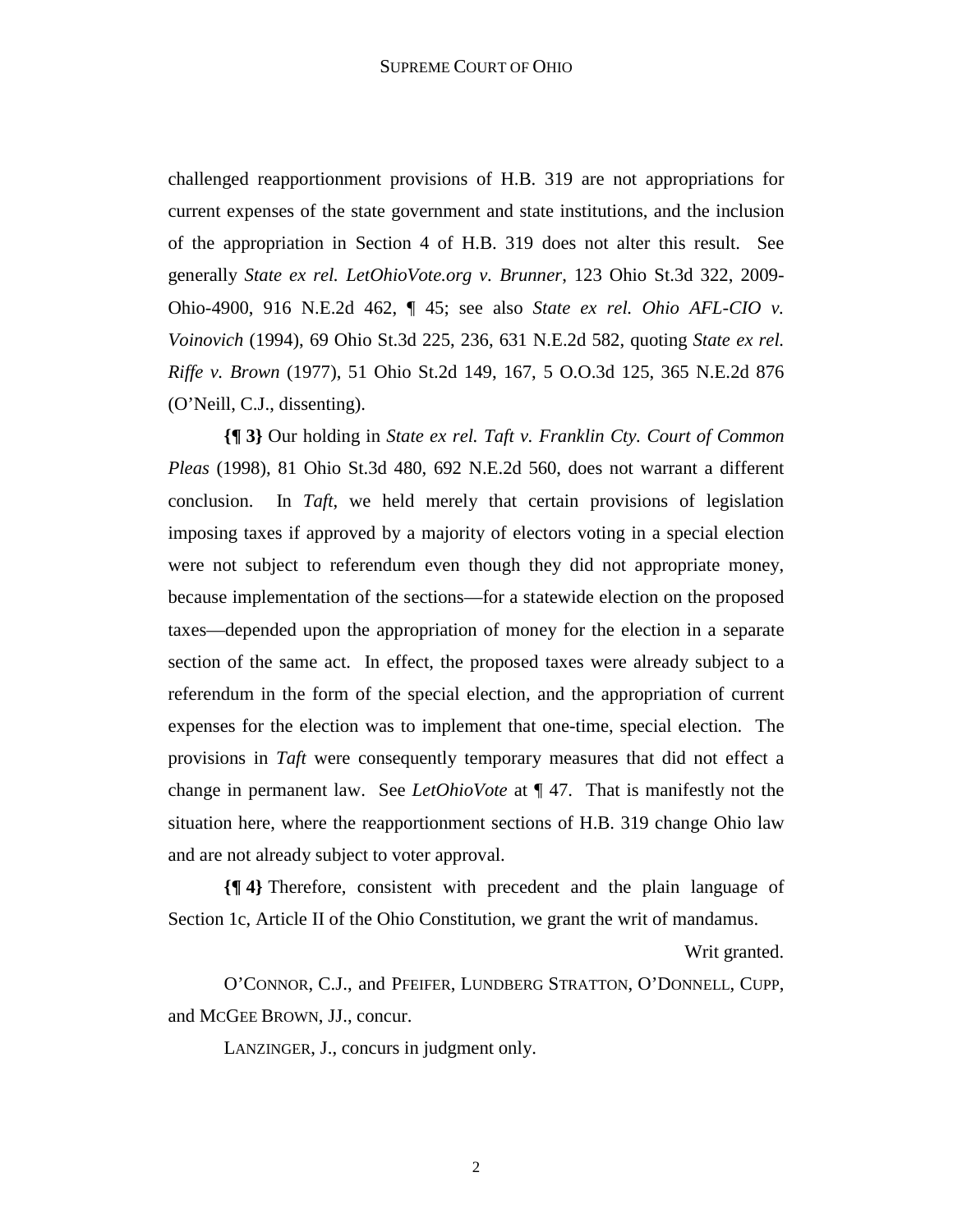challenged reapportionment provisions of H.B. 319 are not appropriations for current expenses of the state government and state institutions, and the inclusion of the appropriation in Section 4 of H.B. 319 does not alter this result. See generally *State ex rel. LetOhioVote.org v. Brunner*, 123 Ohio St.3d 322, 2009- Ohio-4900, 916 N.E.2d 462, ¶ 45; see also *State ex rel. Ohio AFL-CIO v. Voinovich* (1994), 69 Ohio St.3d 225, 236, 631 N.E.2d 582, quoting *State ex rel. Riffe v. Brown* (1977), 51 Ohio St.2d 149, 167, 5 O.O.3d 125, 365 N.E.2d 876 (O'Neill, C.J., dissenting).

**{¶ 3}** Our holding in *State ex rel. Taft v. Franklin Cty. Court of Common Pleas* (1998), 81 Ohio St.3d 480, 692 N.E.2d 560, does not warrant a different conclusion. In *Taft*, we held merely that certain provisions of legislation imposing taxes if approved by a majority of electors voting in a special election were not subject to referendum even though they did not appropriate money, because implementation of the sections—for a statewide election on the proposed taxes—depended upon the appropriation of money for the election in a separate section of the same act. In effect, the proposed taxes were already subject to a referendum in the form of the special election, and the appropriation of current expenses for the election was to implement that one-time, special election. The provisions in *Taft* were consequently temporary measures that did not effect a change in permanent law. See *LetOhioVote* at ¶ 47. That is manifestly not the situation here, where the reapportionment sections of H.B. 319 change Ohio law and are not already subject to voter approval.

**{¶ 4}** Therefore, consistent with precedent and the plain language of Section 1c, Article II of the Ohio Constitution, we grant the writ of mandamus.

Writ granted.

 O'CONNOR, C.J., and PFEIFER, LUNDBERG STRATTON, O'DONNELL, CUPP, and MCGEE BROWN, JJ., concur.

LANZINGER, J., concurs in judgment only.

2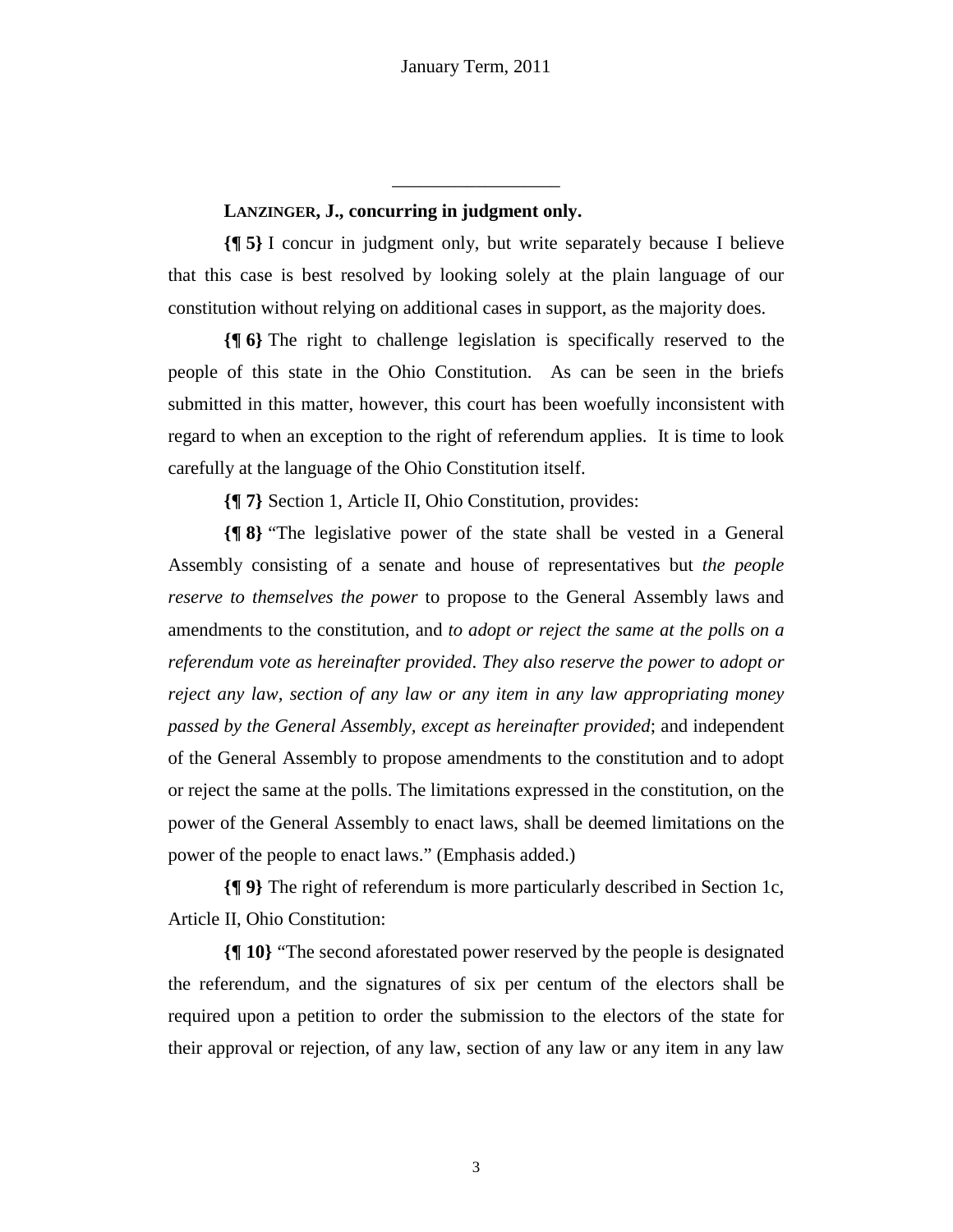### **LANZINGER, J., concurring in judgment only.**

**{¶ 5}** I concur in judgment only, but write separately because I believe that this case is best resolved by looking solely at the plain language of our constitution without relying on additional cases in support, as the majority does.

\_\_\_\_\_\_\_\_\_\_\_\_\_\_\_\_\_\_

**{¶ 6}** The right to challenge legislation is specifically reserved to the people of this state in the Ohio Constitution. As can be seen in the briefs submitted in this matter, however, this court has been woefully inconsistent with regard to when an exception to the right of referendum applies. It is time to look carefully at the language of the Ohio Constitution itself.

**{¶ 7}** Section 1, Article II, Ohio Constitution, provides:

**{¶ 8}** "The legislative power of the state shall be vested in a General Assembly consisting of a senate and house of representatives but *the people reserve to themselves the power* to propose to the General Assembly laws and amendments to the constitution, and *to adopt or reject the same at the polls on a referendum vote as hereinafter provided*. *They also reserve the power to adopt or reject any law, section of any law or any item in any law appropriating money passed by the General Assembly, except as hereinafter provided*; and independent of the General Assembly to propose amendments to the constitution and to adopt or reject the same at the polls. The limitations expressed in the constitution, on the power of the General Assembly to enact laws, shall be deemed limitations on the power of the people to enact laws." (Emphasis added.)

**{¶ 9}** The right of referendum is more particularly described in Section 1c, Article II, Ohio Constitution:

**{¶ 10}** "The second aforestated power reserved by the people is designated the referendum, and the signatures of six per centum of the electors shall be required upon a petition to order the submission to the electors of the state for their approval or rejection, of any law, section of any law or any item in any law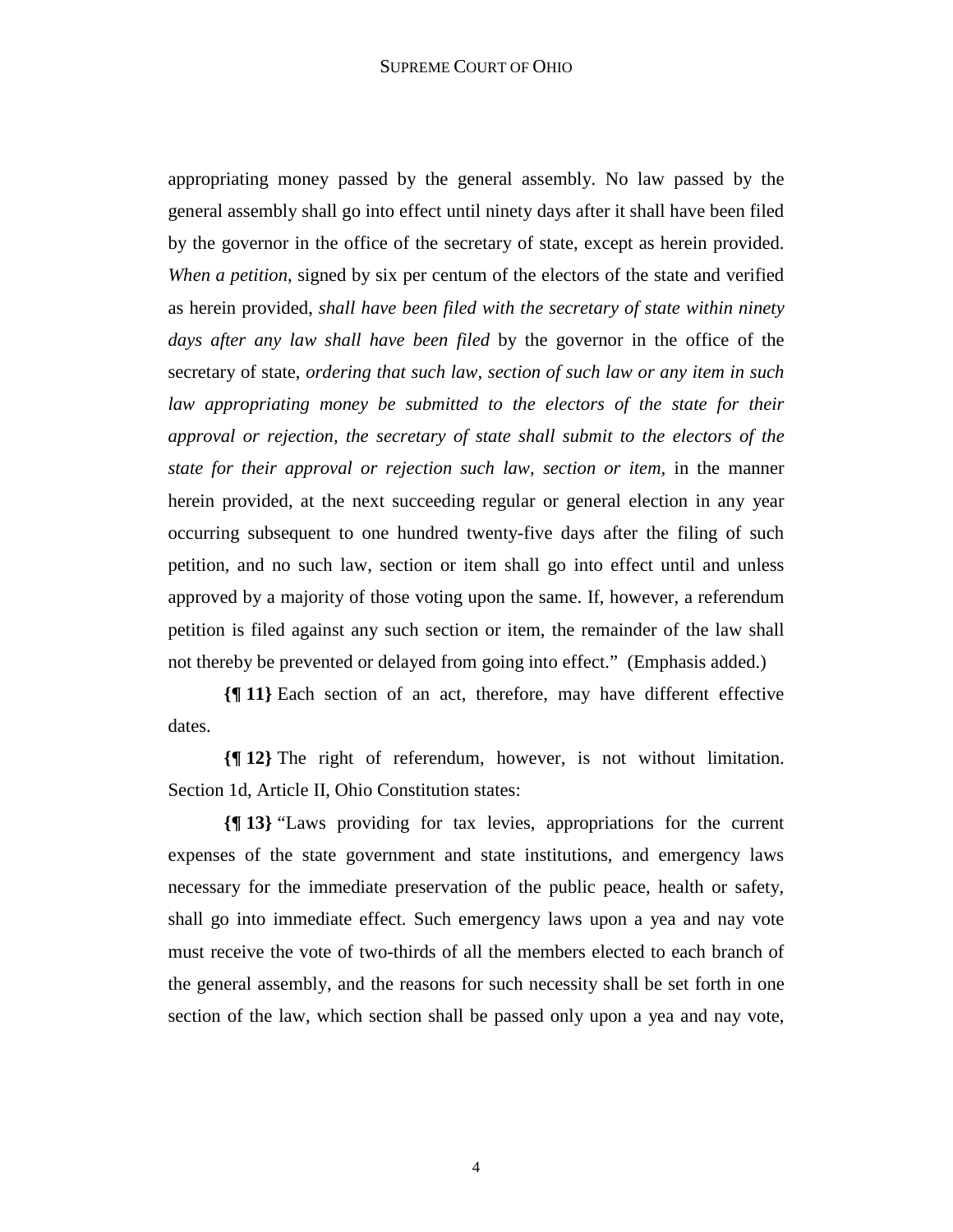#### SUPREME COURT OF OHIO

appropriating money passed by the general assembly. No law passed by the general assembly shall go into effect until ninety days after it shall have been filed by the governor in the office of the secretary of state, except as herein provided. *When a petition*, signed by six per centum of the electors of the state and verified as herein provided, *shall have been filed with the secretary of state within ninety days after any law shall have been filed* by the governor in the office of the secretary of state, *ordering that such law, section of such law or any item in such law appropriating money be submitted to the electors of the state for their approval or rejection, the secretary of state shall submit to the electors of the state for their approval or rejection such law, section or item,* in the manner herein provided, at the next succeeding regular or general election in any year occurring subsequent to one hundred twenty-five days after the filing of such petition, and no such law, section or item shall go into effect until and unless approved by a majority of those voting upon the same. If, however, a referendum petition is filed against any such section or item, the remainder of the law shall not thereby be prevented or delayed from going into effect." (Emphasis added.)

**{¶ 11}** Each section of an act, therefore, may have different effective dates.

**{¶ 12}** The right of referendum, however, is not without limitation. Section 1d, Article II, Ohio Constitution states:

**{¶ 13}** "Laws providing for tax levies, appropriations for the current expenses of the state government and state institutions, and emergency laws necessary for the immediate preservation of the public peace, health or safety, shall go into immediate effect. Such emergency laws upon a yea and nay vote must receive the vote of two-thirds of all the members elected to each branch of the general assembly, and the reasons for such necessity shall be set forth in one section of the law, which section shall be passed only upon a yea and nay vote,

4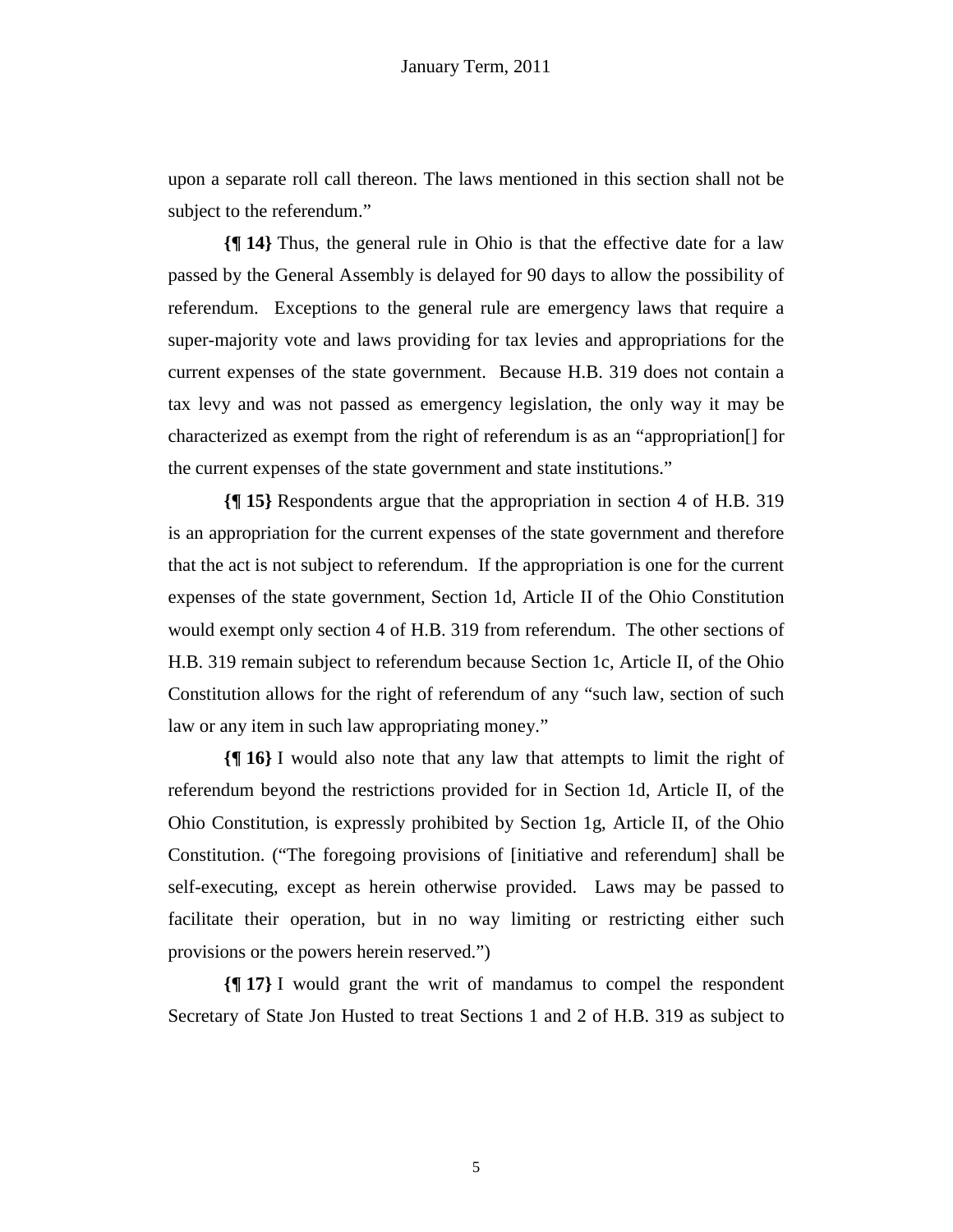upon a separate roll call thereon. The laws mentioned in this section shall not be subject to the referendum."

**{¶ 14}** Thus, the general rule in Ohio is that the effective date for a law passed by the General Assembly is delayed for 90 days to allow the possibility of referendum. Exceptions to the general rule are emergency laws that require a super-majority vote and laws providing for tax levies and appropriations for the current expenses of the state government. Because H.B. 319 does not contain a tax levy and was not passed as emergency legislation, the only way it may be characterized as exempt from the right of referendum is as an "appropriation[] for the current expenses of the state government and state institutions."

**{¶ 15}** Respondents argue that the appropriation in section 4 of H.B. 319 is an appropriation for the current expenses of the state government and therefore that the act is not subject to referendum. If the appropriation is one for the current expenses of the state government, Section 1d, Article II of the Ohio Constitution would exempt only section 4 of H.B. 319 from referendum. The other sections of H.B. 319 remain subject to referendum because Section 1c, Article II, of the Ohio Constitution allows for the right of referendum of any "such law, section of such law or any item in such law appropriating money."

**{¶ 16}** I would also note that any law that attempts to limit the right of referendum beyond the restrictions provided for in Section 1d, Article II, of the Ohio Constitution, is expressly prohibited by Section 1g, Article II, of the Ohio Constitution. ("The foregoing provisions of [initiative and referendum] shall be self-executing, except as herein otherwise provided. Laws may be passed to facilitate their operation, but in no way limiting or restricting either such provisions or the powers herein reserved.")

**{¶ 17}** I would grant the writ of mandamus to compel the respondent Secretary of State Jon Husted to treat Sections 1 and 2 of H.B. 319 as subject to